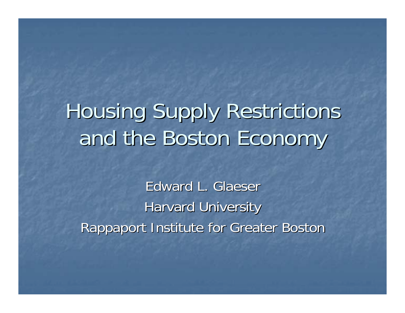# Housing Supply Restrictions and the Boston Economy

Edward L. Glaeser **Harvard University** Rappaport Institute for Greater Boston Rappaport Institute for Greater Boston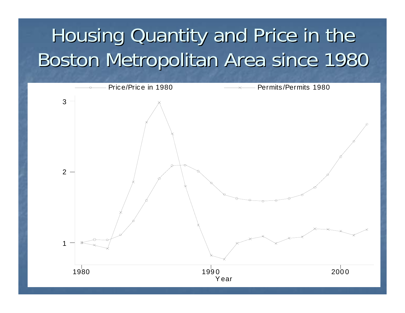## Housing Quantity and Price in the Boston Metropolitan Area since 1980 Boston Metropolitan Area since 1980

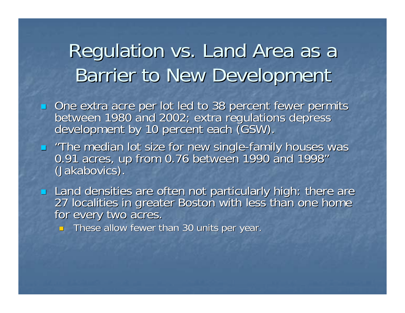#### Regulation vs. Land Area as a Barrier to New Development

- One extra acre per lot led to 38 percent fewer permits<br>between 1980 and 2002; extra regulations depress<br>development by 10 percent each (GSW).
- ц "The median lot size for new single-family houses was<br>0.91 acres, up from 0.76 between 1990 and 1998" "(Jakabovics). (Jakabovics).
- Land densities are often not particularly high: there are<br>27 localities in greater Boston with less than one home<br>for every two acres.
	- $\blacksquare$  These allow fewer than 30 units per year.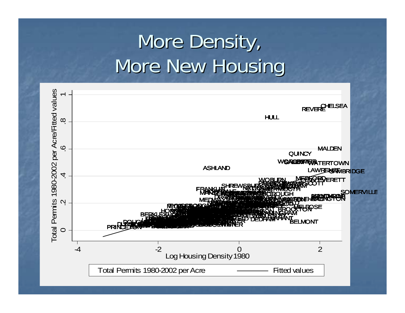## More Density, More New Housing

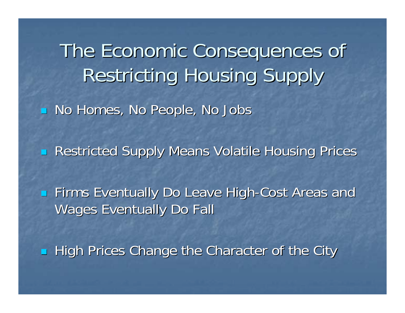The Economic Consequences of Restricting Housing Supply Restricting Housing Supply No Homes, No People, No Jobs **Restricted Supply Means Volatile Housing Prices** F **Exentually Do Leave High-Cost Areas and Cost Areas and Cost Areas and Leavel** Wages Eventually Do Fall

**High Prices Change the Character of the City**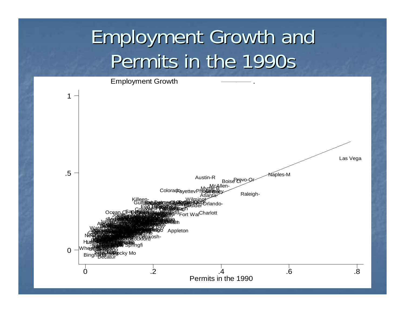### **Employment Growth and** Permits in the 1990s

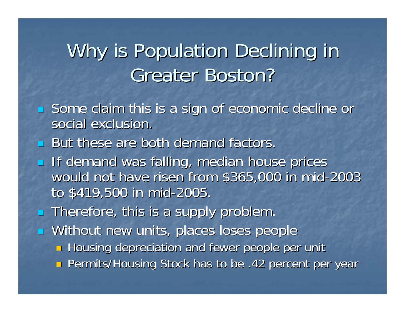### Why is Population Declining in **Greater Boston?**

- F Some claim this is a sign of economic decline or social exclusion.
- **But these are both demand factors.**
- п If demand was falling, median house prices would not have risen from \$365,000 in mid-2003 to \$419,500 in mid-2005
- $\blacksquare$  Therefore, this is a supply problem.
- **Nithout new units, places loses people** 
	- **Housing depreciation and fewer people per unit**
	- **n** Permits/Housing Stock has to be .42 percent per year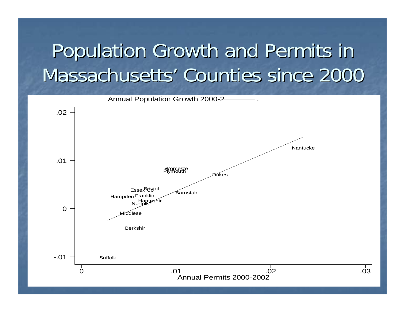## Population Growth and Permits in Massachusetts' Counties since 2000



 $\overrightarrow{0}3$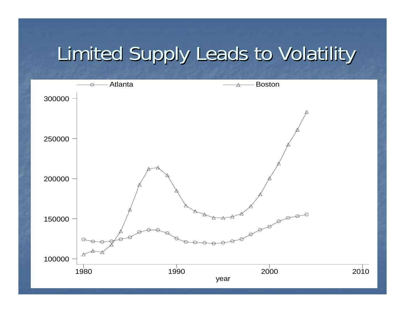### Limited Supply Leads to Volatility

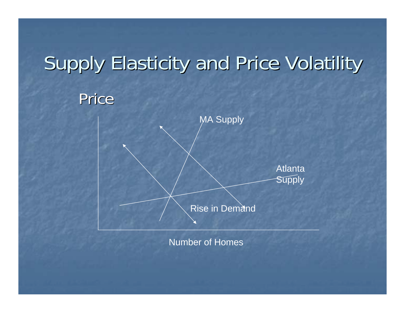## Supply Elasticity and Price Volatility

#### Price



Number of Homes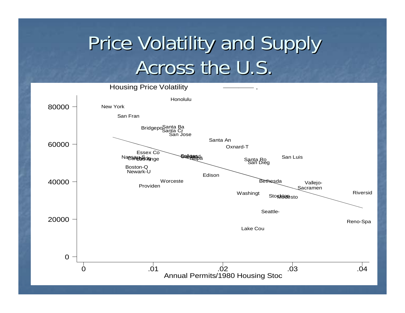#### **Price Volatility and Supply** Across the U.S.

**Housing Price Volatility** 

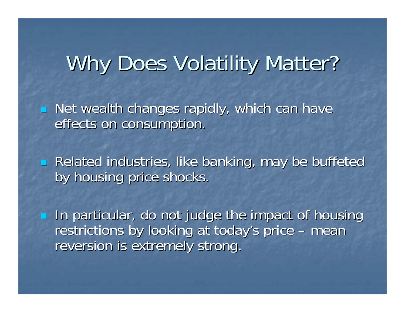## Why Does Volatility Matter?

F  $\blacksquare$  Net wealth changes rapidly, which can have effects on consumption.

F **Related industries, like banking, may be buffeted industries** by housing price shocks.

**In particular, do not judge the impact of housing** restrictions by looking at today's price  $\cdot$ – mean reversion is extremely strong.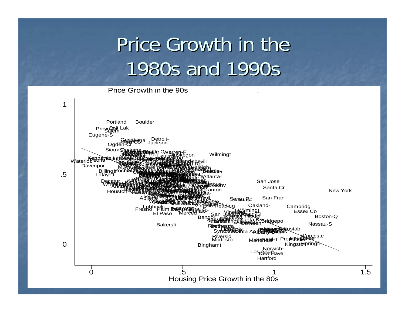### Price Growth in the 1980s and 1990s

Price Growth in the 90s

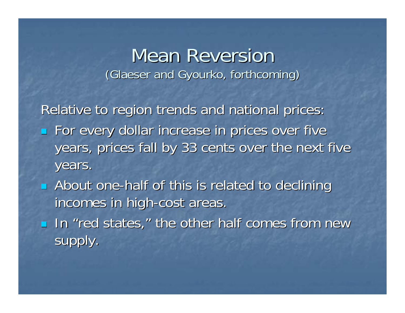#### **Mean Reversion** (Glaeser and Gyourko, forthcoming)

Relative to region trends and national prices: **For every dollar increase in prices over five** years, prices fall by 33 cents over the next five years.

**E** About one-half of this is related to declining incomes in high-cost areas.

**IF In "red states," the other half comes from new** supply.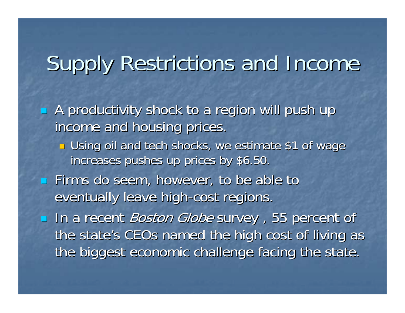## Supply Restrictions and Income

**A** productivity shock to a region will push up income and housing prices. **<u>E</u>** Using oil and tech shocks, we estimate \$1 of wage increases pushes up prices by \$6.50.  $\blacksquare$  Firms do seem, however, to be able to eventually leave high-cost regions. In a recent *Boston Globe* survey, 55 percent of the state's CEOs named the high cost of living as the biggest economic challenge facing the state.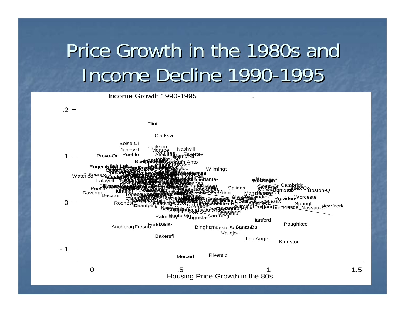## Price Growth in the 1980s and Income Decline 1990-1995

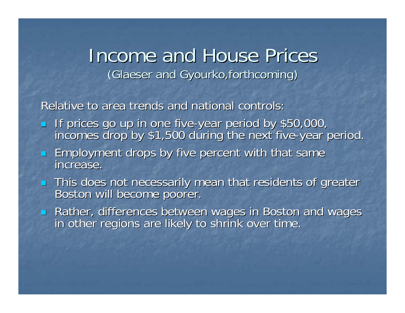#### Income and House Prices (Glaeser and Gyourko,forthcoming)

Relative to area trends and national controls:

- $\mathcal{L}$ If prices go up in one five-year period by \$50,000,<br>incomes drop by \$1,500 during the next five-year period.
- **Employment drops by five percent with that same**<br>increase. increase.
- This does not necessarily mean that residents of greater<br>Boston will become poorer.
- Rather, differences between wages in Boston and wages in Boston and wages in boston and wages in other regions are likely to shrink over time.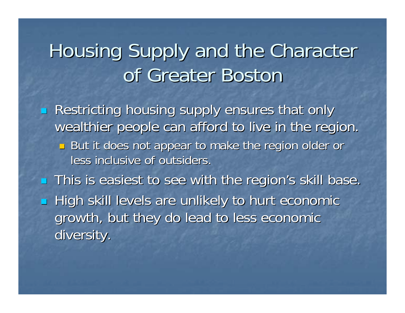### Housing Supply and the Character of Greater Bostor

Restricting housing supply ensures that only wealthier people can afford to live in the region.  $\textcolor{red}{\blacksquare}$  But it does not appear to make the region older or less inclusive of outsiders. **This is easiest to see with the region's skill base.**  $\blacksquare$ **High skill levels are unlikely to hurt economic** growth, but they do lead to less economic

diversity.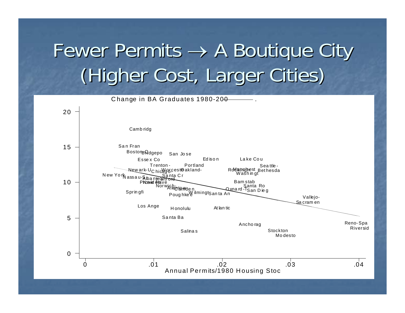## Fewer Permits  $\rightarrow$  A Boutique City (Higher Cost, Larger Cities)